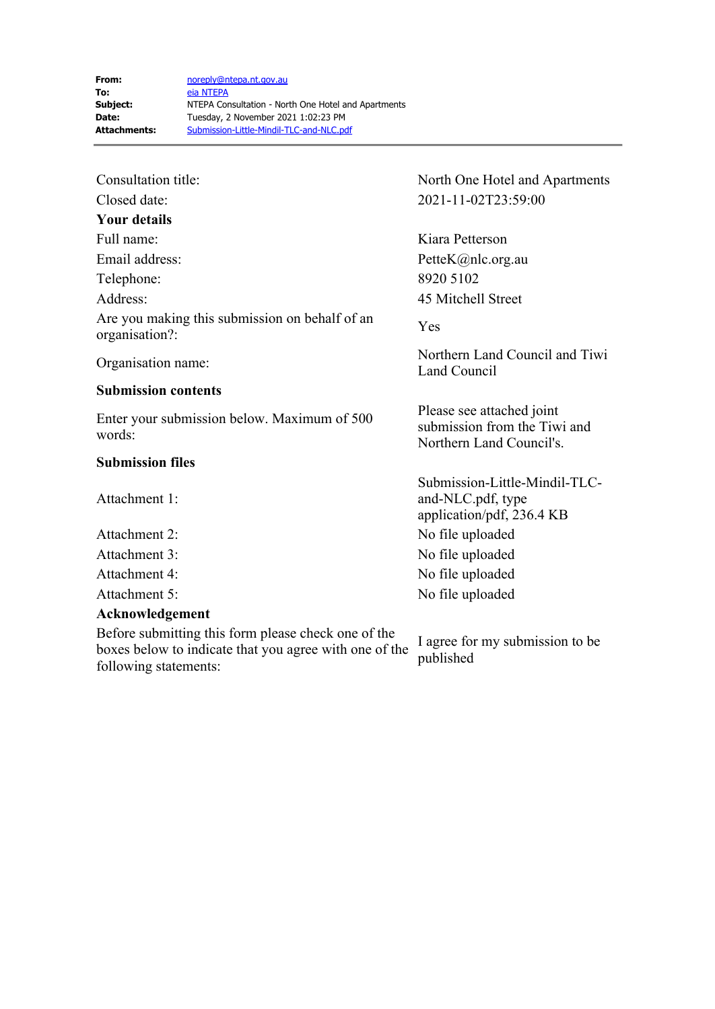| Consultation title:                                              | Nor        |
|------------------------------------------------------------------|------------|
| Closed date:                                                     | 202        |
| Your details                                                     |            |
| Full name:                                                       | Kia        |
| Email address:                                                   | Pett       |
| Telephone:                                                       | 892        |
| Address:                                                         | 45 N       |
| Are you making this submission on behalf of an<br>organisation?: | Yes        |
| Organisation name:                                               | Nor<br>Lan |
| <b>Submission contents</b>                                       |            |

Enter your submission below. Maximum of 500 words:

## **Submission files**

Attachment 1:

## **Acknowledgement**

Before submitting this form please check one of the boxes below to indicate that you agree with one of the following statements:

North One Hotel and Apartments Closed date: 2021-11-02T23:59:00

Kiara Petterson PetteK@nlc.org.au Telephone: 8920 5102 45 Mitchell Street

Northern Land Council and Tiwi Land Council

Please see attached joint submission from the Tiwi and Northern Land Council's.

Submission-Little-Mindil-TLCand-NLC.pdf, type application/pdf, 236.4 KB Attachment 2: No file uploaded Attachment 3: No file uploaded Attachment 4: No file uploaded Attachment 5: No file uploaded

> I agree for my submission to be published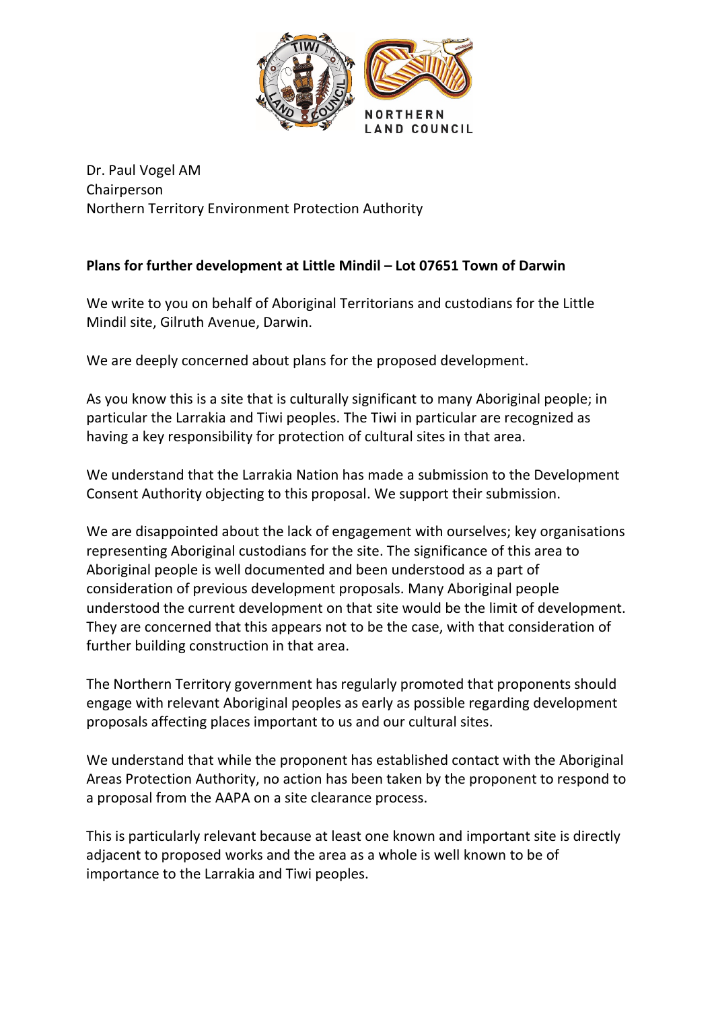

Dr. Paul Vogel AM Chairperson Northern Territory Environment Protection Authority

## **Plans for further development at Little Mindil – Lot 07651 Town of Darwin**

We write to you on behalf of Aboriginal Territorians and custodians for the Little Mindil site, Gilruth Avenue, Darwin.

We are deeply concerned about plans for the proposed development.

As you know this is a site that is culturally significant to many Aboriginal people; in particular the Larrakia and Tiwi peoples. The Tiwi in particular are recognized as having a key responsibility for protection of cultural sites in that area.

We understand that the Larrakia Nation has made a submission to the Development Consent Authority objecting to this proposal. We support their submission.

We are disappointed about the lack of engagement with ourselves; key organisations representing Aboriginal custodians for the site. The significance of this area to Aboriginal people is well documented and been understood as a part of consideration of previous development proposals. Many Aboriginal people understood the current development on that site would be the limit of development. They are concerned that this appears not to be the case, with that consideration of further building construction in that area.

The Northern Territory government has regularly promoted that proponents should engage with relevant Aboriginal peoples as early as possible regarding development proposals affecting places important to us and our cultural sites.

We understand that while the proponent has established contact with the Aboriginal Areas Protection Authority, no action has been taken by the proponent to respond to a proposal from the AAPA on a site clearance process.

This is particularly relevant because at least one known and important site is directly adjacent to proposed works and the area as a whole is well known to be of importance to the Larrakia and Tiwi peoples.